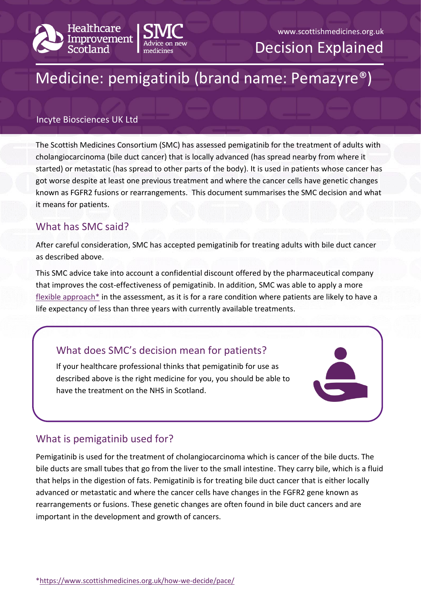



# www.scottishmedicines.org.uk

Decision Explained

# Medicine: pemigatinib (brand name: Pemazyre®)

#### Incyte Biosciences UK Ltd

The Scottish Medicines Consortium (SMC) has assessed pemigatinib for the treatment of adults with cholangiocarcinoma (bile duct cancer) that is locally advanced (has spread nearby from where it started) or metastatic (has spread to other parts of the body). It is used in patients whose cancer has got worse despite at least one previous treatment and where the cancer cells have genetic changes known as FGFR2 fusions or rearrangements. This document summarises the SMC decision and what it means for patients.

## What has SMC said?

After careful consideration, SMC has accepted pemigatinib for treating adults with bile duct cancer as described above.

This SMC advice take into account a confidential discount offered by the pharmaceutical company that improves the cost-effectiveness of pemigatinib. In addition, SMC was able to apply a more  $f$ lexible approach $*$  in the assessment, as it is for a rare condition where patients are likely to have a life expectancy of less than three years with currently available treatments.

#### What does SMC's decision mean for patients?

If your healthcare professional thinks that pemigatinib for use as described above is the right medicine for you, you should be able to have the treatment on the NHS in Scotland.



#### What is pemigatinib used for?

Pemigatinib is used for the treatment of cholangiocarcinoma which is cancer of the bile ducts. The bile ducts are small tubes that go from the liver to the small intestine. They carry bile, which is a fluid that helps in the digestion of fats. Pemigatinib is for treating bile duct cancer that is either locally advanced or metastatic and where the cancer cells have changes in the FGFR2 gene known as rearrangements or fusions. These genetic changes are often found in bile duct cancers and are important in the development and growth of cancers.